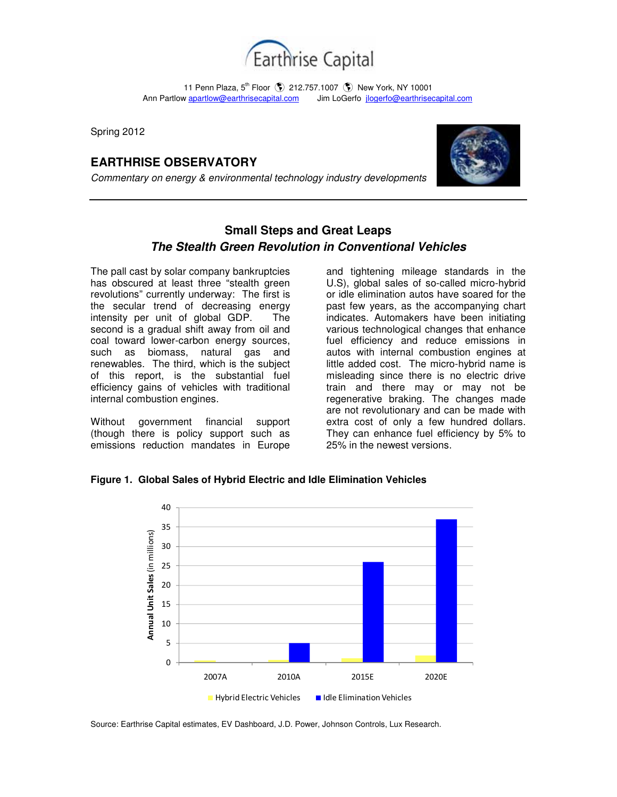

11 Penn Plaza, 5<sup>th</sup> Floor (\$) 212.757.1007 (\$) New York, NY 10001 Ann Partlow apartlow@earthrisecapital.comJim LoGerfo jlogerfo@earthrisecapital.com

Spring 2012

## **EARTHRISE OBSERVATORY**

Commentary on energy & environmental technology industry developments



## **Small Steps and Great Leaps The Stealth Green Revolution in Conventional Vehicles**

The pall cast by solar company bankruptcies has obscured at least three "stealth green revolutions" currently underway: The first is the secular trend of decreasing energy intensity per unit of global GDP. The second is a gradual shift away from oil and coal toward lower-carbon energy sources, such as biomass, natural gas and renewables. The third, which is the subject of this report, is the substantial fuel efficiency gains of vehicles with traditional internal combustion engines.

Without government financial support (though there is policy support such as emissions reduction mandates in Europe

and tightening mileage standards in the U.S), global sales of so-called micro-hybrid or idle elimination autos have soared for the past few years, as the accompanying chart indicates. Automakers have been initiating various technological changes that enhance fuel efficiency and reduce emissions in autos with internal combustion engines at little added cost. The micro-hybrid name is misleading since there is no electric drive train and there may or may not be regenerative braking. The changes made are not revolutionary and can be made with extra cost of only a few hundred dollars. They can enhance fuel efficiency by 5% to 25% in the newest versions.

**Figure 1. Global Sales of Hybrid Electric and Idle Elimination Vehicles**



Source: Earthrise Capital estimates, EV Dashboard, J.D. Power, Johnson Controls, Lux Research.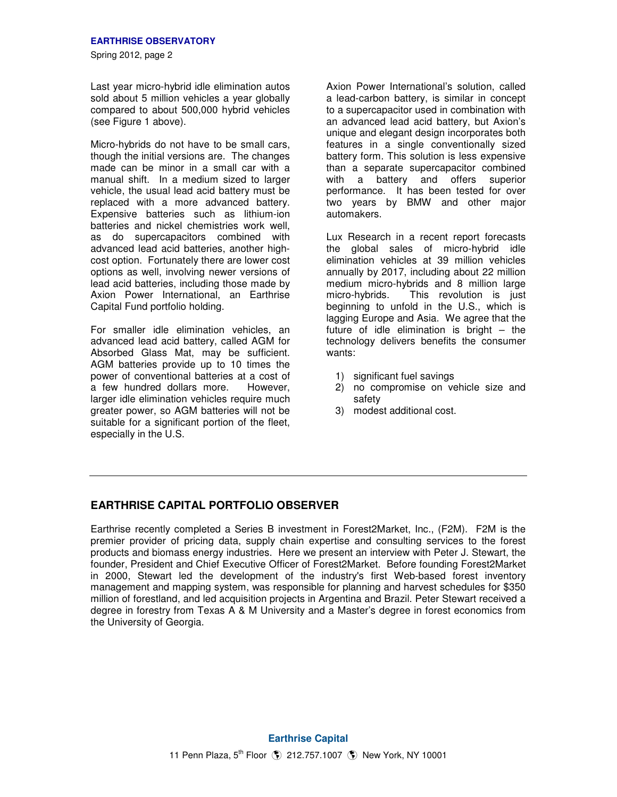Last year micro-hybrid idle elimination autos sold about 5 million vehicles a vear globally compared to about 500,000 hybrid vehicles (see Figure 1 above).

Micro-hybrids do not have to be small cars, though the initial versions are. The changes made can be minor in a small car with a manual shift. In a medium sized to larger vehicle, the usual lead acid battery must be replaced with a more advanced battery. Expensive batteries such as lithium-ion batteries and nickel chemistries work well, as do supercapacitors combined with advanced lead acid batteries, another highcost option. Fortunately there are lower cost options as well, involving newer versions of lead acid batteries, including those made by Axion Power International, an Earthrise Capital Fund portfolio holding.

For smaller idle elimination vehicles, an advanced lead acid battery, called AGM for Absorbed Glass Mat, may be sufficient. AGM batteries provide up to 10 times the power of conventional batteries at a cost of a few hundred dollars more. However, larger idle elimination vehicles require much greater power, so AGM batteries will not be suitable for a significant portion of the fleet. especially in the U.S.

Axion Power International's solution, called a lead-carbon battery, is similar in concept to a supercapacitor used in combination with an advanced lead acid battery, but Axion's unique and elegant design incorporates both features in a single conventionally sized battery form. This solution is less expensive than a separate supercapacitor combined with a battery and offers superior performance. It has been tested for over two years by BMW and other major automakers.

Lux Research in a recent report forecasts the global sales of micro-hybrid idle elimination vehicles at 39 million vehicles annually by 2017, including about 22 million medium micro-hybrids and 8 million large micro-hybrids. This revolution is just beginning to unfold in the U.S., which is lagging Europe and Asia. We agree that the future of idle elimination is bright – the technology delivers benefits the consumer wants:

- 1) significant fuel savings
- 2) no compromise on vehicle size and safety
- 3) modest additional cost.

## **EARTHRISE CAPITAL PORTFOLIO OBSERVER**

Earthrise recently completed a Series B investment in Forest2Market, Inc., (F2M). F2M is the premier provider of pricing data, supply chain expertise and consulting services to the forest products and biomass energy industries. Here we present an interview with Peter J. Stewart, the founder, President and Chief Executive Officer of Forest2Market. Before founding Forest2Market in 2000, Stewart led the development of the industry's first Web-based forest inventory management and mapping system, was responsible for planning and harvest schedules for \$350 million of forestland, and led acquisition projects in Argentina and Brazil. Peter Stewart received a degree in forestry from Texas A & M University and a Master's degree in forest economics from the University of Georgia.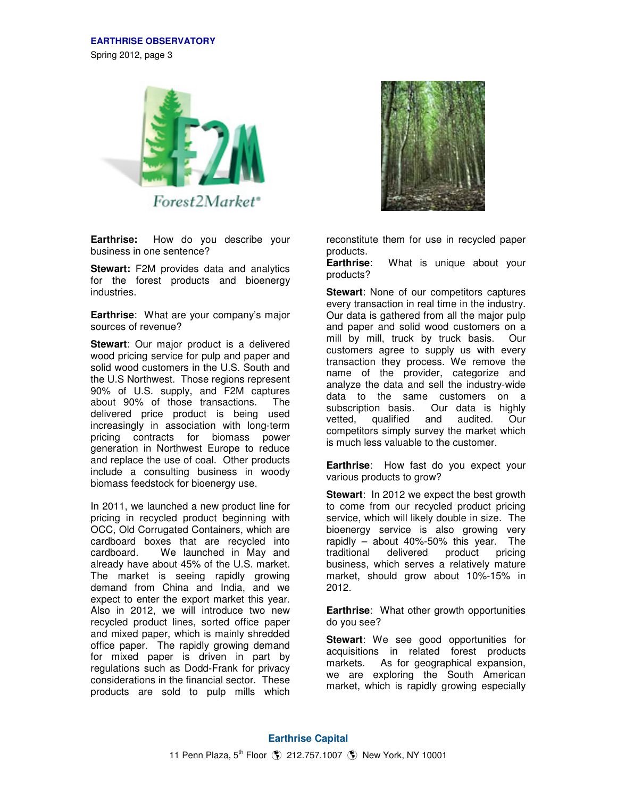Spring 2012, page 3



**Earthrise:** How do you describe your business in one sentence?

**Stewart:** F2M provides data and analytics for the forest products and bioenergy industries.

**Earthrise**: What are your company's major sources of revenue?

**Stewart**: Our major product is a delivered wood pricing service for pulp and paper and solid wood customers in the U.S. South and the U.S Northwest. Those regions represent 90% of U.S. supply, and F2M captures about 90% of those transactions. The delivered price product is being used increasingly in association with long-term pricing contracts for biomass power generation in Northwest Europe to reduce and replace the use of coal. Other products include a consulting business in woody biomass feedstock for bioenergy use.

In 2011, we launched a new product line for pricing in recycled product beginning with OCC, Old Corrugated Containers, which are cardboard boxes that are recycled into cardboard. We launched in May and already have about 45% of the U.S. market. The market is seeing rapidly growing demand from China and India, and we expect to enter the export market this year. Also in 2012, we will introduce two new recycled product lines, sorted office paper and mixed paper, which is mainly shredded office paper. The rapidly growing demand for mixed paper is driven in part by regulations such as Dodd-Frank for privacy considerations in the financial sector. These products are sold to pulp mills which



reconstitute them for use in recycled paper products.

**Earthrise**: What is unique about your products?

**Stewart**: None of our competitors captures every transaction in real time in the industry. Our data is gathered from all the major pulp and paper and solid wood customers on a mill by mill, truck by truck basis. Our customers agree to supply us with every transaction they process. We remove the name of the provider, categorize and analyze the data and sell the industry-wide data to the same customers on a subscription basis. Our data is highly vetted, qualified and audited. Our competitors simply survey the market which is much less valuable to the customer.

**Earthrise**: How fast do you expect your various products to grow?

**Stewart**: In 2012 we expect the best growth to come from our recycled product pricing service, which will likely double in size. The bioenergy service is also growing very rapidly – about 40%-50% this year. The traditional delivered product pricing business, which serves a relatively mature market, should grow about 10%-15% in 2012.

**Earthrise**: What other growth opportunities do you see?

**Stewart**: We see good opportunities for acquisitions in related forest products markets. As for geographical expansion, we are exploring the South American market, which is rapidly growing especially